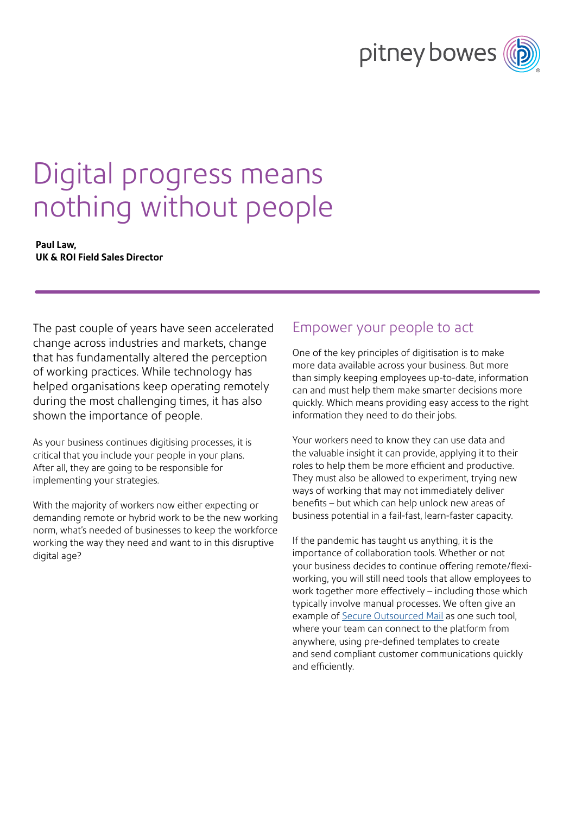# pitney bowes

## Digital progress means nothing without people

#### **Paul Law, UK & ROI Field Sales Director**

The past couple of years have seen accelerated change across industries and markets, change that has fundamentally altered the perception of working practices. While technology has helped organisations keep operating remotely during the most challenging times, it has also shown the importance of people.

As your business continues digitising processes, it is critical that you include your people in your plans. After all, they are going to be responsible for implementing your strategies.

With the majority of workers now either expecting or demanding remote or hybrid work to be the new working norm, what's needed of businesses to keep the workforce working the way they need and want to in this disruptive digital age?

### Empower your people to act

One of the key principles of digitisation is to make more data available across your business. But more than simply keeping employees up-to-date, information can and must help them make smarter decisions more quickly. Which means providing easy access to the right information they need to do their jobs.

Your workers need to know they can use data and the valuable insight it can provide, applying it to their roles to help them be more efficient and productive. They must also be allowed to experiment, trying new ways of working that may not immediately deliver benefits – but which can help unlock new areas of business potential in a fail-fast, learn-faster capacity.

If the pandemic has taught us anything, it is the importance of collaboration tools. Whether or not your business decides to continue offering remote/flexiworking, you will still need tools that allow employees to work together more effectively – including those which typically involve manual processes. We often give an example of [Secure Outsourced Mail](https://www.pitneybowes.com/uk/business-automation/hybrid-mail.html) as one such tool, where your team can connect to the platform from anywhere, using pre-defined templates to create and send compliant customer communications quickly and efficiently.